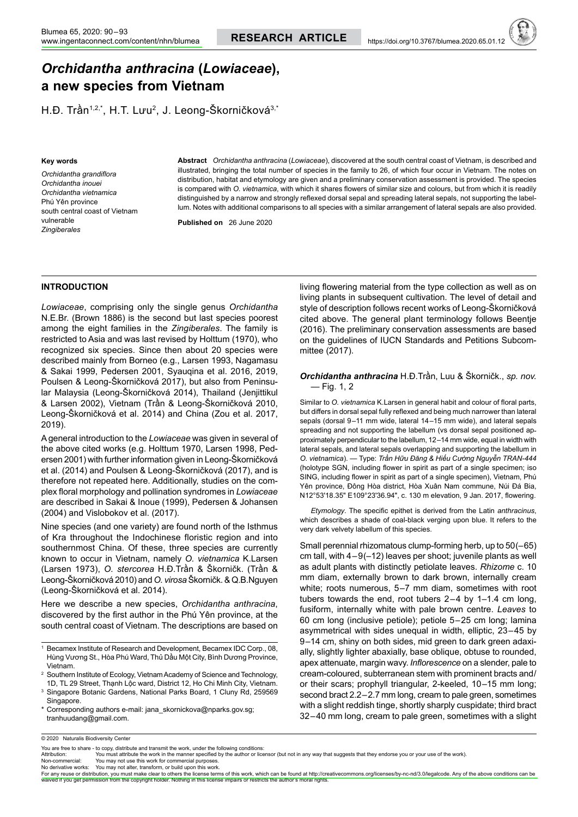# *Orchidantha anthracina* **(***Lowiaceae***), a new species from Vietnam**

H.Đ. Trần<sup>1,2,\*</sup>, H.T. Lưu<sup>2</sup>, J. Leong-Škorničková<sup>3,\*</sup>

#### **Key words**

*Orchidantha grandiflora Orchidantha inouei Orchidantha vietnamica* Phú Yên province south central coast of Vietnam vulnerable *Zingiberales*

**Abstract** *Orchidantha anthracina* (*Lowiaceae*), discovered at the south central coast of Vietnam, is described and illustrated, bringing the total number of species in the family to 26, of which four occur in Vietnam. The notes on distribution, habitat and etymology are given and a preliminary conservation assessment is provided. The species is compared with *O. vietnamica*, with which it shares flowers of similar size and colours, but from which it is readily distinguished by a narrow and strongly reflexed dorsal sepal and spreading lateral sepals, not supporting the labellum. Notes with additional comparisons to all species with a similar arrangement of lateral sepals are also provided.

**Published on**   26 June 2020

### **INTRODUCTION**

*Lowiaceae*, comprising only the single genus *Orchidantha*  N.E.Br. (Brown 1886) is the second but last species poorest among the eight families in the *Zingiberales*. The family is restricted to Asia and was last revised by Holttum (1970), who recognized six species. Since then about 20 species were described mainly from Borneo (e.g., Larsen 1993, Nagamasu & Sakai 1999, Pedersen 2001, Syauqina et al. 2016, 2019, Poulsen & Leong-Škorničková 2017), but also from Peninsular Malaysia (Leong-Škorničková 2014), Thailand (Jenjittikul & Larsen 2002), Vietnam (Trần & Leong-Škorničková 2010, Leong-Škorničková et al. 2014) and China (Zou et al. 2017, 2019).

A general introduction to the *Lowiaceae* was given in several of the above cited works (e.g. Holttum 1970, Larsen 1998, Pedersen 2001) with further information given in Leong-Škorničková et al. (2014) and Poulsen & Leong-Škorničková (2017), and is therefore not repeated here. Additionally, studies on the complex floral morphology and pollination syndromes in *Lowiaceae* are described in Sakai & Inoue (1999), Pedersen & Johansen (2004) and Vislobokov et al. (2017).

Nine species (and one variety) are found north of the Isthmus of Kra throughout the Indochinese floristic region and into southernmost China. Of these, three species are currently known to occur in Vietnam, namely *O. vietnamica* K.Larsen (Larsen 1973), *O. stercorea* H.Đ.Trần & Škorničk. (Trần & Leong-Škorničková 2010) and *O. virosa*Škorničk.& Q.B.Nguyen (Leong-Škorničková et al. 2014).

Here we describe a new species, *Orchidantha anthracina*, discovered by the first author in the Phú Yên province, at the south central coast of Vietnam. The descriptions are based on

Corresponding authors e-mail: jana\_skornickova@nparks.gov.sg; tranhuudang@gmail.com.

living flowering material from the type collection as well as on living plants in subsequent cultivation. The level of detail and style of description follows recent works of Leong-Škorničková cited above. The general plant terminology follows Beentje (2016). The preliminary conservation assessments are based on the guidelines of IUCN Standards and Petitions Subcommittee (2017).

## *Orchidantha anthracina* H.Đ.Trần, Luu & Škorničk., *sp. nov.* — Fig. 1, 2

Similar to *O. vietnamica* K.Larsen in general habit and colour of floral parts, but differs in dorsal sepal fully reflexed and being much narrower than lateral sepals (dorsal 9–11 mm wide, lateral 14–15 mm wide), and lateral sepals spreading and not supporting the labellum (vs dorsal sepal positioned approximately perpendicular to the labellum, 12–14 mm wide, equal in width with lateral sepals, and lateral sepals overlapping and supporting the labellum in *O. vietnamica*). — Type: *Trần Hữu Đăng & Hiếu Cường Nguyễn TRAN-444* (holotype SGN, including flower in spirit as part of a single specimen; iso SING, including flower in spirit as part of a single specimen), Vietnam, Phú Yên province, Đông Hòa district, Hòa Xuân Nam commune, Núi Đá Bia, N12°53ʹ18.35ʺ E109°23ʹ36.94ʺ, c. 130 m elevation, 9 Jan. 2017, flowering.

 *Etymology*. The specific epithet is derived from the Latin *anthracinus*, which describes a shade of coal-black verging upon blue. It refers to the very dark velvety labellum of this species.

Small perennial rhizomatous clump-forming herb, up to 50(–65) cm tall, with 4–9(–12) leaves per shoot; juvenile plants as well as adult plants with distinctly petiolate leaves. *Rhizome* c. 10 mm diam, externally brown to dark brown, internally cream white; roots numerous, 5–7 mm diam, sometimes with root tubers towards the end, root tubers 2–4 by 1–1.4 cm long, fusiform, internally white with pale brown centre. *Leaves* to 60 cm long (inclusive petiole); petiole 5–25 cm long; lamina asymmetrical with sides unequal in width, elliptic, 23–45 by 9–14 cm, shiny on both sides, mid green to dark green adaxially, slightly lighter abaxially, base oblique, obtuse to rounded, apex attenuate, margin wavy. *Inflorescence* on a slender, pale to cream-coloured, subterranean stem with prominent bracts and/ or their scars; prophyll triangular, 2-keeled, 10–15 mm long; second bract 2.2–2.7 mm long, cream to pale green, sometimes with a slight reddish tinge, shortly sharply cuspidate; third bract 32–40 mm long, cream to pale green, sometimes with a slight

Non-commercial: You may not use this work for commercial purposes.

No derivative works: You may not alter, transform, or build upon this work.

For any reuse or distribution, you must make clear to others the license terms of this work, which can be found at [http://creativecommons.org/licenses/by-nc-nd/3.0/legalcode.](http://creativecommons.org/licenses/by-nc-nd/3.0/legalcode.Anyoftheaboveconditionscanbe) Any of the above conditions can be<br>waived if y

<sup>1</sup> Becamex Institute of Research and Development, Becamex IDC Corp., 08, Hùng Vương St., Hòa Phú Ward, Thủ Dầu Một City, Bình Dương Province, Vietnam.

<sup>2</sup> Southern Institute of Ecology, VietnamAcademy of Science and Technology, 1D, TL 29 Street, Thạnh Lộc ward, District 12, Ho Chi Minh City, Vietnam.

<sup>3</sup> Singapore Botanic Gardens, National Parks Board, 1 Cluny Rd, 259569 Singapore.

<sup>© 2020</sup> Naturalis Biodiversity Center

You are free to share - to copy, distribute and transmit the work, under the following conditions:<br>Affribution: You must affribute the work in the manner specified by the author or lice

Attribution: You must attribute the work in the manner specified by the author or licensor (but not in any way that suggests that they endorse you or your use of the work).<br>Non-commercial: You may not use this work for com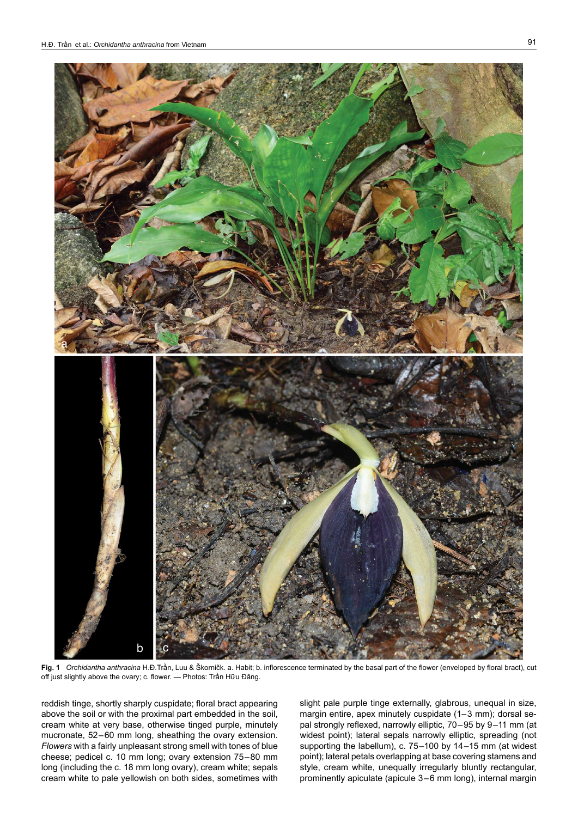

**Fig. 1** *Orchidantha anthracina* H.Đ.Trần, Luu & Škorničk. a. Habit; b. inflorescence terminated by the basal part of the flower (enveloped by floral bract), cut off just slightly above the ovary; c. flower. — Photos: Trần Hữu Đăng.

reddish tinge, shortly sharply cuspidate; floral bract appearing above the soil or with the proximal part embedded in the soil, cream white at very base, otherwise tinged purple, minutely mucronate, 52–60 mm long, sheathing the ovary extension. *Flowers* with a fairly unpleasant strong smell with tones of blue cheese; pedicel c. 10 mm long; ovary extension 75–80 mm long (including the c. 18 mm long ovary), cream white; sepals cream white to pale yellowish on both sides, sometimes with

slight pale purple tinge externally, glabrous, unequal in size, margin entire, apex minutely cuspidate (1–3 mm); dorsal sepal strongly reflexed, narrowly elliptic, 70–95 by 9–11 mm (at widest point); lateral sepals narrowly elliptic, spreading (not supporting the labellum), c. 75–100 by 14–15 mm (at widest point); lateral petals overlapping at base covering stamens and style, cream white, unequally irregularly bluntly rectangular, prominently apiculate (apicule 3–6 mm long), internal margin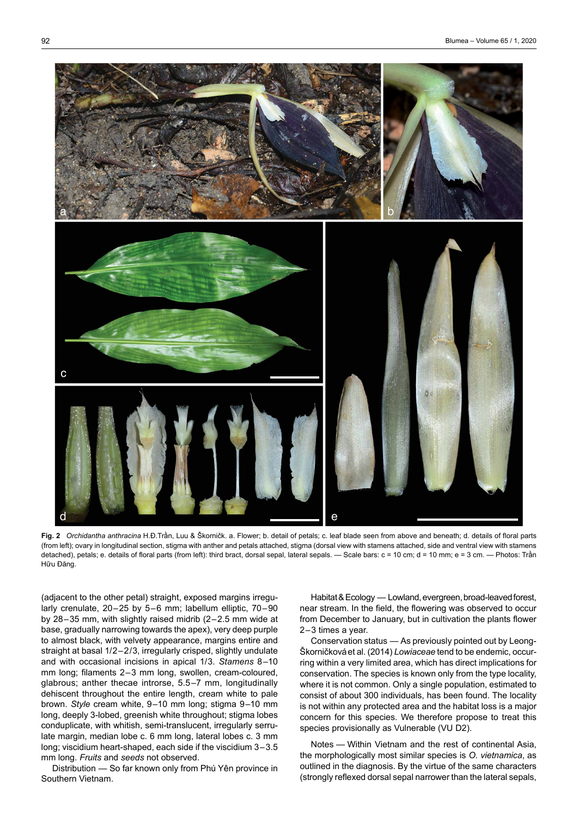

**Fig. 2** *Orchidantha anthracina* H.Đ.Trần, Luu & Škorničk. a. Flower; b. detail of petals; c. leaf blade seen from above and beneath; d. details of floral parts (from left); ovary in longitudinal section, stigma with anther and petals attached, stigma (dorsal view with stamens attached, side and ventral view with stamens detached), petals; e. details of floral parts (from left): third bract, dorsal sepal, lateral sepals. — Scale bars: c = 10 cm; d = 10 mm; e = 3 cm. — Photos: Trần Hữu Đăng.

(adjacent to the other petal) straight, exposed margins irregularly crenulate, 20–25 by 5–6 mm; labellum elliptic, 70–90 by 28–35 mm, with slightly raised midrib (2–2.5 mm wide at base, gradually narrowing towards the apex), very deep purple to almost black, with velvety appearance, margins entire and straight at basal 1/2–2/3, irregularly crisped, slightly undulate and with occasional incisions in apical 1/3. *Stamens* 8–10 mm long; filaments 2–3 mm long, swollen, cream-coloured, glabrous; anther thecae introrse, 5.5–7 mm, longitudinally dehiscent throughout the entire length, cream white to pale brown. *Style* cream white, 9–10 mm long; stigma 9–10 mm long, deeply 3-lobed, greenish white throughout; stigma lobes conduplicate, with whitish, semi-translucent, irregularly serrulate margin, median lobe c. 6 mm long, lateral lobes c. 3 mm long; viscidium heart-shaped, each side if the viscidium 3–3.5 mm long. *Fruits* and *seeds* not observed.

Distribution — So far known only from Phú Yên province in Southern Vietnam.

Habitat & Ecology — Lowland, evergreen, broad-leaved forest, near stream. In the field, the flowering was observed to occur from December to January, but in cultivation the plants flower 2–3 times a year.

Conservation status — As previously pointed out by Leong-Škorničkováet al. (2014) *Lowiaceae* tend to be endemic, occurring within a very limited area, which has direct implications for conservation. The species is known only from the type locality, where it is not common. Only a single population, estimated to consist of about 300 individuals, has been found. The locality is not within any protected area and the habitat loss is a major concern for this species. We therefore propose to treat this species provisionally as Vulnerable (VU D2).

Notes — Within Vietnam and the rest of continental Asia, the morphologically most similar species is *O. vietnamica*, as outlined in the diagnosis. By the virtue of the same characters (strongly reflexed dorsal sepal narrower than the lateral sepals,